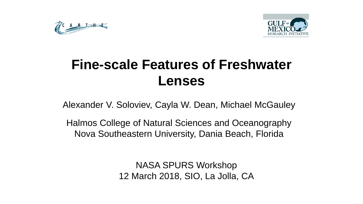



# **Fine-scale Features of Freshwater Lenses**

Alexander V. Soloviev, Cayla W. Dean, Michael McGauley

Halmos College of Natural Sciences and Oceanography Nova Southeastern University, Dania Beach, Florida

> NASA SPURS Workshop 12 March 2018, SIO, La Jolla, CA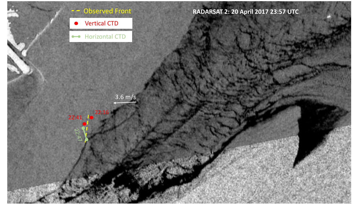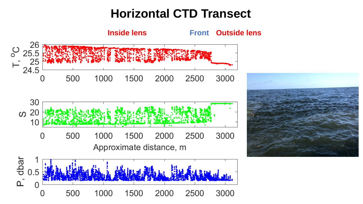# **Horizontal CTD Transect**



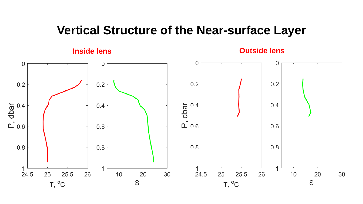## **Vertical Structure of the Near-surface Layer**

**Inside lens Outside lens**

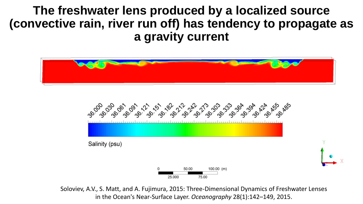**The freshwater lens produced by a localized source (convective rain, river run off) has tendency to propagate as a gravity current**





Soloviev, A.V., S. Matt, and A. Fujimura, 2015: Three-Dimensional Dynamics of Freshwater Lenses in the Ocean's Near-Surface Layer. *Oceanography* 28(1):142–149, 2015.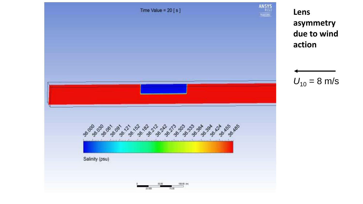

**Lens asymmetry due to wind action**

$$
U_{10} = 8 \text{ m/s}
$$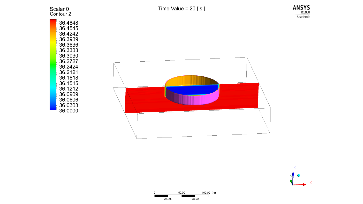

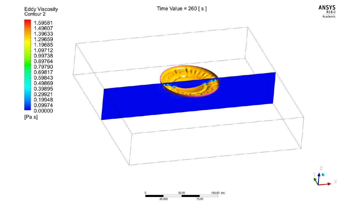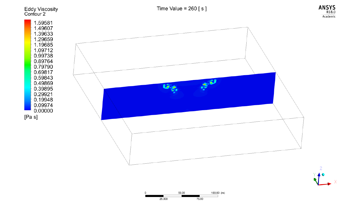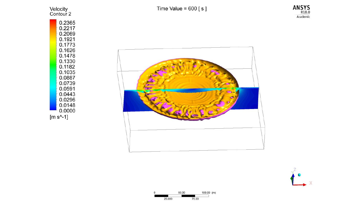







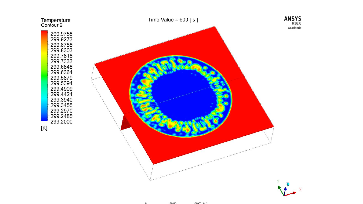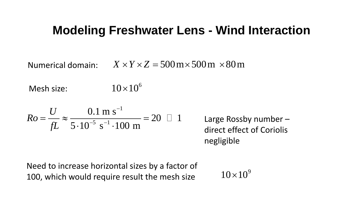# **Modeling Freshwater Lens - Wind Interaction leling Freshwater Lens - Wind Interaction**<br>
main:  $X \times Y \times Z = 500 \text{ m} \times 500 \text{ m} \times 80 \text{ m}$ <br>  $10 \times 10^6$ <br>  $\frac{0.1 \text{ m s}^{-1}}{10^{-5} \text{ s}^{-1} \cdot 100 \text{ m}} = 20 \text{ J}$  1 Large Rossby number-<br>
direct effect of Coriolis<br>
negligible<br>

Numerical domain:

Mesh size:

**Modeling Freshwater Lens - Wind Interaction**  
\nNumerical domain: 
$$
X \times Y \times Z = 500 \text{ m} \times 500 \text{ m} \times 80 \text{ m}
$$
  
\n**Mesh size:**  $10 \times 10^6$   
\n**Ro** =  $\frac{U}{fL} \approx \frac{0.1 \text{ m s}^{-1}}{5 \cdot 10^{-5} \text{ s}^{-1} \cdot 100 \text{ m}} = 20 \text{ L}$  Large Rossby number –  
\ndirect effect of Coriolis negligible  
\nNeed to increase horizontal sizes by a factor of  
\n100, which would require result the mesh size  $10 \times 10^9$ 

**Freshwater Lens - Wind Interaction**<br>  $X \times Y \times Z = 500 \text{ m} \times 500 \text{ m} \times 80 \text{ m}$ <br>  $10 \times 10^6$ <br>  $\frac{\text{s}^{-1}}{100 \text{ m}} = 20 \text{ J}$  Large Rossby number –<br>
direct effect of Coriolis<br>
negligible<br>
ontal sizes by a factor of<br>
ire resu Large Rossby number – direct effect of Coriolis negligible  $\times 80\,\mathrm{m}$ <br>e Rossby number –<br>tt effect of Coriolis<br>igible<br> $10\times 10^9$ 

Need to increase horizontal sizes by a factor of 100, which would require result the mesh size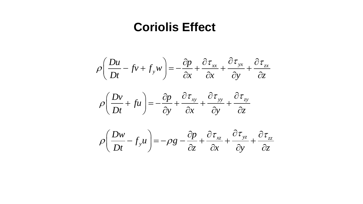## **Coriolis Effect**

$$
\rho \left( \frac{Du}{Dt} - fv + f_y w \right) = -\frac{\partial p}{\partial x} + \frac{\partial \tau_{xx}}{\partial x} + \frac{\partial \tau_{yx}}{\partial y} + \frac{\partial \tau_{zx}}{\partial z}
$$

$$
\rho \left( \frac{Dv}{Dt} + fu \right) = -\frac{\partial p}{\partial y} + \frac{\partial \tau_{xy}}{\partial x} + \frac{\partial \tau_{yy}}{\partial y} + \frac{\partial \tau_{zy}}{\partial z}
$$

$$
\rho \left( \frac{Dw}{Dt} - f_y u \right) = -\rho g - \frac{\partial p}{\partial z} + \frac{\partial \tau_{xz}}{\partial x} + \frac{\partial \tau_{yz}}{\partial y} + \frac{\partial \tau_{zz}}{\partial z}
$$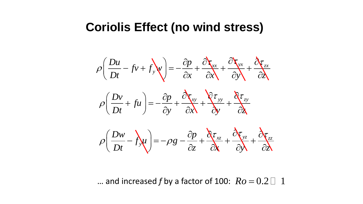## **Coriolis Effect (no wind stress)**

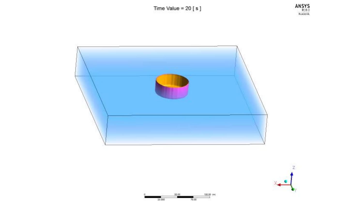Time Value =  $20 [s]$